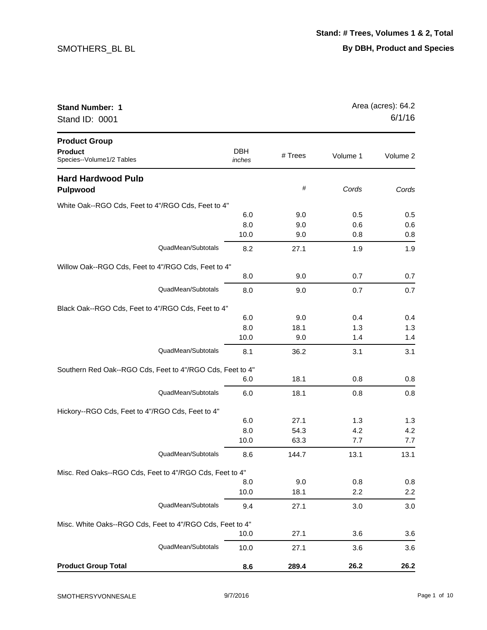| <b>Stand Number: 1</b><br>Stand ID: 0001                            |                      |         | Area (acres): 64.2<br>6/1/16 |          |
|---------------------------------------------------------------------|----------------------|---------|------------------------------|----------|
| <b>Product Group</b><br><b>Product</b><br>Species--Volume1/2 Tables | <b>DBH</b><br>inches | # Trees | Volume 1                     | Volume 2 |
| <b>Hard Hardwood Pulp</b><br><b>Pulpwood</b>                        |                      | #       | Cords                        | Cords    |
| White Oak--RGO Cds, Feet to 4"/RGO Cds, Feet to 4"                  |                      |         |                              |          |
|                                                                     | 6.0                  | 9.0     | 0.5                          | 0.5      |
|                                                                     | 8.0                  | 9.0     | 0.6                          | 0.6      |
|                                                                     | 10.0                 | 9.0     | 0.8                          | 0.8      |
| QuadMean/Subtotals                                                  | 8.2                  | 27.1    | 1.9                          | 1.9      |
| Willow Oak--RGO Cds, Feet to 4"/RGO Cds, Feet to 4"                 |                      |         |                              |          |
|                                                                     | 8.0                  | 9.0     | 0.7                          | 0.7      |
| QuadMean/Subtotals                                                  | 8.0                  | 9.0     | 0.7                          | 0.7      |
| Black Oak--RGO Cds, Feet to 4"/RGO Cds, Feet to 4"                  |                      |         |                              |          |
|                                                                     | 6.0                  | 9.0     | 0.4                          | 0.4      |
|                                                                     | 8.0                  | 18.1    | 1.3                          | 1.3      |
|                                                                     | 10.0                 | 9.0     | 1.4                          | 1.4      |
| QuadMean/Subtotals                                                  | 8.1                  | 36.2    | 3.1                          | 3.1      |
| Southern Red Oak--RGO Cds, Feet to 4"/RGO Cds, Feet to 4"           |                      |         |                              |          |
|                                                                     | 6.0                  | 18.1    | 0.8                          | 0.8      |
| QuadMean/Subtotals                                                  | 6.0                  | 18.1    | 0.8                          | 0.8      |
| Hickory--RGO Cds, Feet to 4"/RGO Cds, Feet to 4"                    |                      |         |                              |          |
|                                                                     | 6.0                  | 27.1    | 1.3                          | 1.3      |
|                                                                     | 8.0                  | 54.3    | 4.2                          | 4.2      |
|                                                                     | 10.0                 | 63.3    | 7.7                          | 7.7      |
| QuadMean/Subtotals                                                  | 8.6                  | 144.7   | 13.1                         | 13.1     |
| Misc. Red Oaks--RGO Cds, Feet to 4"/RGO Cds, Feet to 4"             |                      |         |                              |          |
|                                                                     | 8.0                  | 9.0     | 0.8                          | 0.8      |
|                                                                     | 10.0                 | 18.1    | 2.2                          | 2.2      |
| QuadMean/Subtotals                                                  | 9.4                  | 27.1    | 3.0                          | 3.0      |
| Misc. White Oaks--RGO Cds, Feet to 4"/RGO Cds, Feet to 4"           |                      |         |                              |          |
|                                                                     | 10.0                 | 27.1    | 3.6                          | 3.6      |
| QuadMean/Subtotals                                                  | 10.0                 | 27.1    | 3.6                          | 3.6      |
| <b>Product Group Total</b>                                          | 8.6                  | 289.4   | 26.2                         | 26.2     |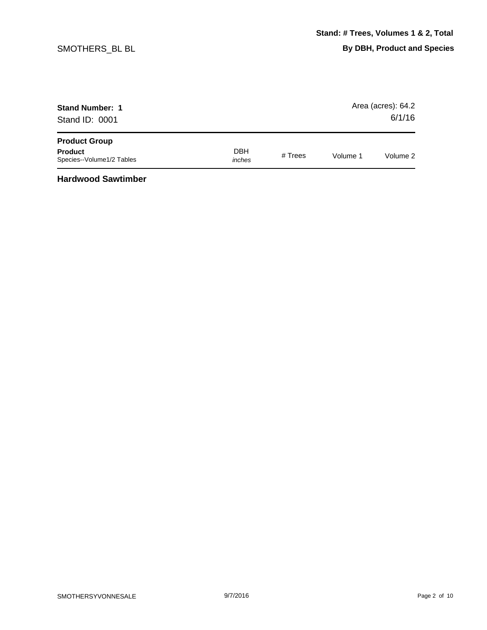| <b>Stand Number: 1</b><br>Stand ID: 0001    |                      |         |          | Area (acres): 64.2<br>6/1/16 |
|---------------------------------------------|----------------------|---------|----------|------------------------------|
| <b>Product Group</b>                        |                      |         |          |                              |
| <b>Product</b><br>Species--Volume1/2 Tables | <b>DBH</b><br>inches | # Trees | Volume 1 | Volume 2                     |

**Hardwood Sawtimber**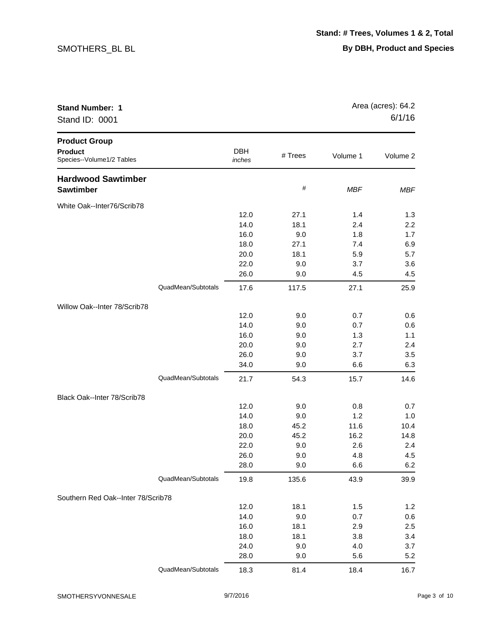| <b>Stand Number: 1</b><br>Stand ID: 0001                            |                    |                      |         |            | Area (acres): 64.2<br>6/1/16 |
|---------------------------------------------------------------------|--------------------|----------------------|---------|------------|------------------------------|
| <b>Product Group</b><br><b>Product</b><br>Species--Volume1/2 Tables |                    | <b>DBH</b><br>inches | # Trees | Volume 1   | Volume 2                     |
| <b>Hardwood Sawtimber</b><br>Sawtimber                              |                    |                      | #       | <b>MBF</b> | <b>MBF</b>                   |
| White Oak--Inter76/Scrib78                                          |                    |                      |         |            |                              |
|                                                                     |                    | 12.0                 | 27.1    | 1.4        | 1.3                          |
|                                                                     |                    | 14.0                 | 18.1    | 2.4        | 2.2                          |
|                                                                     |                    | 16.0                 | 9.0     | 1.8        | $1.7$                        |
|                                                                     |                    | 18.0                 | 27.1    | 7.4        | 6.9                          |
|                                                                     |                    | 20.0                 | 18.1    | 5.9        | 5.7                          |
|                                                                     |                    | 22.0                 | 9.0     | 3.7        | 3.6                          |
|                                                                     |                    | 26.0                 | 9.0     | 4.5        | 4.5                          |
|                                                                     | QuadMean/Subtotals | 17.6                 | 117.5   | 27.1       | 25.9                         |
| Willow Oak--Inter 78/Scrib78                                        |                    |                      |         |            |                              |
|                                                                     |                    | 12.0                 | 9.0     | 0.7        | 0.6                          |
|                                                                     |                    | 14.0                 | 9.0     | 0.7        | 0.6                          |
|                                                                     |                    | 16.0                 | 9.0     | 1.3        | 1.1                          |
|                                                                     |                    | 20.0                 | 9.0     | 2.7        | 2.4                          |
|                                                                     |                    | 26.0                 | 9.0     | 3.7        | 3.5                          |
|                                                                     |                    | 34.0                 | 9.0     | 6.6        | 6.3                          |
|                                                                     | QuadMean/Subtotals | 21.7                 | 54.3    | 15.7       | 14.6                         |
| Black Oak--Inter 78/Scrib78                                         |                    |                      |         |            |                              |
|                                                                     |                    | 12.0                 | 9.0     | 0.8        | 0.7                          |
|                                                                     |                    | 14.0                 | 9.0     | 1.2        | 1.0                          |
|                                                                     |                    | 18.0                 | 45.2    | 11.6       | 10.4                         |
|                                                                     |                    | 20.0                 | 45.2    | 16.2       | 14.8                         |
|                                                                     |                    | 22.0                 | 9.0     | 2.6        | 2.4                          |
|                                                                     |                    | 26.0                 | 9.0     | 4.8        | 4.5                          |
|                                                                     |                    | 28.0                 | 9.0     | 6.6        | 6.2                          |
|                                                                     | QuadMean/Subtotals | 19.8                 | 135.6   | 43.9       | 39.9                         |
| Southern Red Oak--Inter 78/Scrib78                                  |                    |                      |         |            |                              |
|                                                                     |                    | 12.0                 | 18.1    | 1.5        | 1.2                          |
|                                                                     |                    | 14.0                 | 9.0     | 0.7        | 0.6                          |
|                                                                     |                    | 16.0                 | 18.1    | 2.9        | 2.5                          |
|                                                                     |                    | 18.0                 | 18.1    | 3.8        | 3.4                          |
|                                                                     |                    | 24.0                 | 9.0     | 4.0        | 3.7                          |
|                                                                     |                    | 28.0                 | 9.0     | 5.6        | 5.2                          |
|                                                                     | QuadMean/Subtotals | 18.3                 | 81.4    | 18.4       | 16.7                         |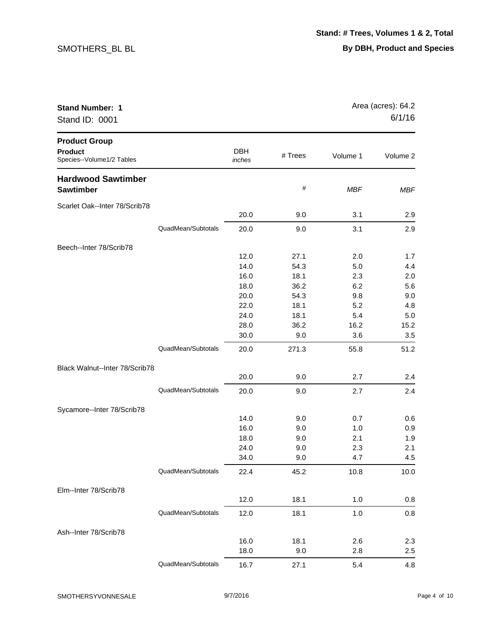| <b>Stand Number: 1</b><br>Stand ID: 0001                            |                    |                      |         |            | Area (acres): 64.2<br>6/1/16 |
|---------------------------------------------------------------------|--------------------|----------------------|---------|------------|------------------------------|
| <b>Product Group</b><br><b>Product</b><br>Species--Volume1/2 Tables |                    | <b>DBH</b><br>inches | # Trees | Volume 1   | Volume 2                     |
| <b>Hardwood Sawtimber</b><br><b>Sawtimber</b>                       |                    |                      | #       | <b>MBF</b> | <b>MBF</b>                   |
| Scarlet Oak--Inter 78/Scrib78                                       |                    | 20.0                 | 9.0     | 3.1        | 2.9                          |
|                                                                     | QuadMean/Subtotals | 20.0                 | 9.0     | 3.1        | 2.9                          |
| Beech--Inter 78/Scrib78                                             |                    |                      |         |            |                              |
|                                                                     |                    | 12.0                 | 27.1    | 2.0        | 1.7                          |
|                                                                     |                    | 14.0                 | 54.3    | 5.0        | 4.4                          |
|                                                                     |                    | 16.0                 | 18.1    | 2.3        | 2.0                          |
|                                                                     |                    | 18.0                 | 36.2    | 6.2        | 5.6                          |
|                                                                     |                    | 20.0                 | 54.3    | 9.8        | 9.0                          |
|                                                                     |                    | 22.0                 | 18.1    | 5.2        | 4.8                          |
|                                                                     |                    | 24.0                 | 18.1    | 5.4        | 5.0                          |
|                                                                     |                    | 28.0                 | 36.2    | 16.2       | 15.2                         |
|                                                                     |                    | 30.0                 | 9.0     | 3.6        | 3.5                          |
|                                                                     | QuadMean/Subtotals | 20.0                 | 271.3   | 55.8       | 51.2                         |
| Black Walnut--Inter 78/Scrib78                                      |                    |                      |         |            |                              |
|                                                                     |                    | 20.0                 | 9.0     | 2.7        | 2.4                          |
|                                                                     | QuadMean/Subtotals | 20.0                 | 9.0     | 2.7        | 2.4                          |
| Sycamore--Inter 78/Scrib78                                          |                    |                      |         |            |                              |
|                                                                     |                    | 14.0                 | 9.0     | 0.7        | 0.6                          |
|                                                                     |                    | 16.0                 | 9.0     | 1.0        | 0.9                          |
|                                                                     |                    | 18.0                 | 9.0     | 2.1        | 1.9                          |
|                                                                     |                    | 24.0                 | 9.0     | 2.3        | 2.1                          |
|                                                                     |                    | 34.0                 | 9.0     | 4.7        | 4.5                          |
|                                                                     | QuadMean/Subtotals | 22.4                 | 45.2    | 10.8       | 10.0                         |
| Elm--Inter 78/Scrib78                                               |                    |                      |         |            |                              |
|                                                                     |                    | 12.0                 | 18.1    | 1.0        | 0.8                          |
|                                                                     | QuadMean/Subtotals | 12.0                 | 18.1    | 1.0        | 0.8                          |
| Ash--Inter 78/Scrib78                                               |                    |                      |         |            |                              |
|                                                                     |                    | 16.0                 | 18.1    | 2.6        | 2.3                          |
|                                                                     |                    | 18.0                 | 9.0     | 2.8        | 2.5                          |
|                                                                     | QuadMean/Subtotals | 16.7                 | 27.1    | 5.4        | 4.8                          |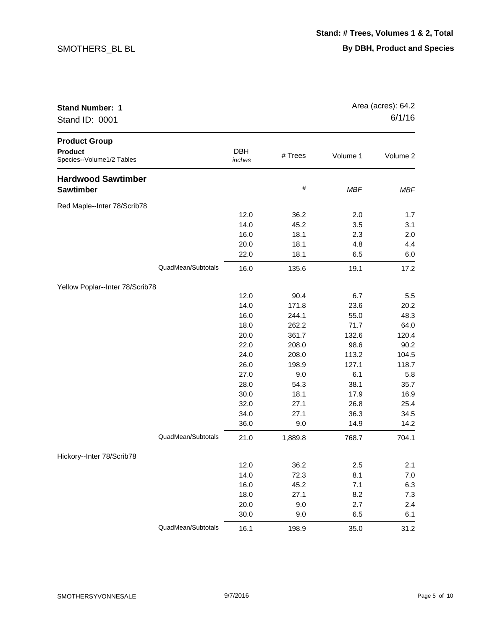| <b>Stand Number: 1</b><br>Stand ID: 0001                            |                    |                      |             | Area (acres): 64.2<br>6/1/16 |              |
|---------------------------------------------------------------------|--------------------|----------------------|-------------|------------------------------|--------------|
| <b>Product Group</b><br><b>Product</b><br>Species--Volume1/2 Tables |                    | <b>DBH</b><br>inches | # Trees     | Volume 1                     | Volume 2     |
| <b>Hardwood Sawtimber</b><br><b>Sawtimber</b>                       |                    |                      | #           | <b>MBF</b>                   | <b>MBF</b>   |
| Red Maple--Inter 78/Scrib78                                         |                    |                      |             |                              |              |
|                                                                     |                    | 12.0                 | 36.2        | 2.0                          | 1.7          |
|                                                                     |                    | 14.0                 | 45.2        | 3.5                          | 3.1          |
|                                                                     |                    | 16.0                 | 18.1        | 2.3                          | 2.0          |
|                                                                     |                    | 20.0                 | 18.1        | 4.8                          | 4.4          |
|                                                                     |                    | 22.0                 | 18.1        | 6.5                          | 6.0          |
|                                                                     | QuadMean/Subtotals | 16.0                 | 135.6       | 19.1                         | 17.2         |
| Yellow Poplar--Inter 78/Scrib78                                     |                    |                      |             |                              |              |
|                                                                     |                    | 12.0                 | 90.4        | 6.7                          | 5.5          |
|                                                                     |                    | 14.0                 | 171.8       | 23.6                         | 20.2         |
|                                                                     |                    | 16.0                 | 244.1       | 55.0                         | 48.3         |
|                                                                     |                    | 18.0                 | 262.2       | 71.7                         | 64.0         |
|                                                                     |                    | 20.0                 | 361.7       | 132.6                        | 120.4        |
|                                                                     |                    | 22.0                 | 208.0       | 98.6                         | 90.2         |
|                                                                     |                    | 24.0                 | 208.0       | 113.2                        | 104.5        |
|                                                                     |                    | 26.0                 | 198.9       | 127.1                        | 118.7        |
|                                                                     |                    | 27.0                 | 9.0         | 6.1                          | 5.8          |
|                                                                     |                    | 28.0                 | 54.3        | 38.1                         | 35.7         |
|                                                                     |                    | 30.0                 | 18.1        | 17.9                         | 16.9         |
|                                                                     |                    | 32.0                 | 27.1        | 26.8                         | 25.4         |
|                                                                     |                    | 34.0<br>36.0         | 27.1<br>9.0 | 36.3<br>14.9                 | 34.5<br>14.2 |
|                                                                     |                    |                      |             |                              |              |
|                                                                     | QuadMean/Subtotals | 21.0                 | 1,889.8     | 768.7                        | 704.1        |
| Hickory--Inter 78/Scrib78                                           |                    |                      |             |                              |              |
|                                                                     |                    | 12.0                 | 36.2        | 2.5                          | 2.1          |
|                                                                     |                    | 14.0                 | 72.3        | 8.1                          | $7.0$        |
|                                                                     |                    | 16.0                 | 45.2        | 7.1                          | 6.3          |
|                                                                     |                    | 18.0                 | 27.1        | 8.2                          | 7.3          |
|                                                                     |                    | 20.0                 | 9.0         | 2.7                          | 2.4          |
|                                                                     |                    | 30.0                 | 9.0         | 6.5                          | 6.1          |
|                                                                     | QuadMean/Subtotals | 16.1                 | 198.9       | 35.0                         | 31.2         |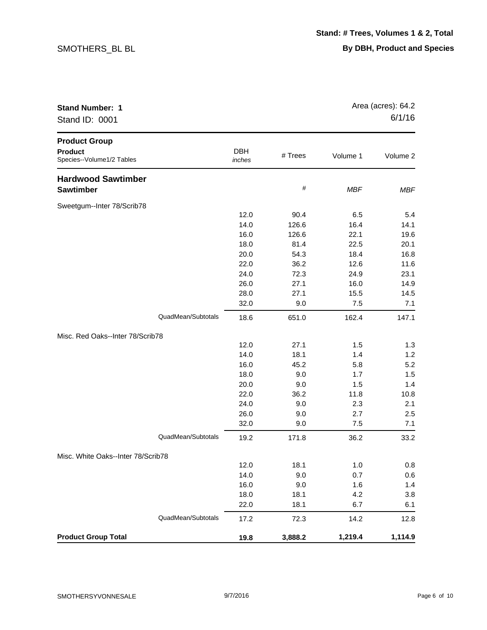| <b>Stand Number: 1</b><br>Stand ID: 0001                            |                      |         | Area (acres): 64.2<br>6/1/16 |            |
|---------------------------------------------------------------------|----------------------|---------|------------------------------|------------|
| <b>Product Group</b><br><b>Product</b><br>Species--Volume1/2 Tables | <b>DBH</b><br>inches | # Trees | Volume 1                     | Volume 2   |
| <b>Hardwood Sawtimber</b><br><b>Sawtimber</b>                       |                      | #       | <b>MBF</b>                   | <b>MBF</b> |
| Sweetgum--Inter 78/Scrib78                                          |                      |         |                              |            |
|                                                                     | 12.0                 | 90.4    | 6.5                          | 5.4        |
|                                                                     | 14.0                 | 126.6   | 16.4                         | 14.1       |
|                                                                     | 16.0                 | 126.6   | 22.1                         | 19.6       |
|                                                                     | 18.0                 | 81.4    | 22.5                         | 20.1       |
|                                                                     | 20.0                 | 54.3    | 18.4                         | 16.8       |
|                                                                     | 22.0                 | 36.2    | 12.6                         | 11.6       |
|                                                                     | 24.0                 | 72.3    | 24.9                         | 23.1       |
|                                                                     | 26.0                 | 27.1    | 16.0                         | 14.9       |
|                                                                     | 28.0                 | 27.1    | 15.5                         | 14.5       |
|                                                                     | 32.0                 | 9.0     | 7.5                          | 7.1        |
| QuadMean/Subtotals                                                  | 18.6                 | 651.0   | 162.4                        | 147.1      |
| Misc. Red Oaks--Inter 78/Scrib78                                    |                      |         |                              |            |
|                                                                     | 12.0                 | 27.1    | 1.5                          | 1.3        |
|                                                                     | 14.0                 | 18.1    | 1.4                          | 1.2        |
|                                                                     | 16.0                 | 45.2    | 5.8                          | 5.2        |
|                                                                     | 18.0                 | 9.0     | 1.7                          | 1.5        |
|                                                                     | 20.0                 | 9.0     | 1.5                          | 1.4        |
|                                                                     | 22.0                 | 36.2    | 11.8                         | 10.8       |
|                                                                     | 24.0                 | 9.0     | 2.3                          | 2.1        |
|                                                                     | 26.0                 | 9.0     | 2.7                          | 2.5        |
|                                                                     | 32.0                 | 9.0     | 7.5                          | 7.1        |
| QuadMean/Subtotals                                                  | 19.2                 | 171.8   | 36.2                         | 33.2       |
| Misc. White Oaks--Inter 78/Scrib78                                  |                      |         |                              |            |
|                                                                     | 12.0                 | 18.1    | 1.0                          | $0.8\,$    |
|                                                                     | 14.0                 | 9.0     | 0.7                          | 0.6        |
|                                                                     | 16.0                 | 9.0     | 1.6                          | 1.4        |
|                                                                     | 18.0                 | 18.1    | 4.2                          | 3.8        |
|                                                                     | 22.0                 | 18.1    | 6.7                          | 6.1        |
| QuadMean/Subtotals                                                  | 17.2                 | 72.3    | 14.2                         | 12.8       |
| <b>Product Group Total</b>                                          | 19.8                 | 3,888.2 | 1,219.4                      | 1,114.9    |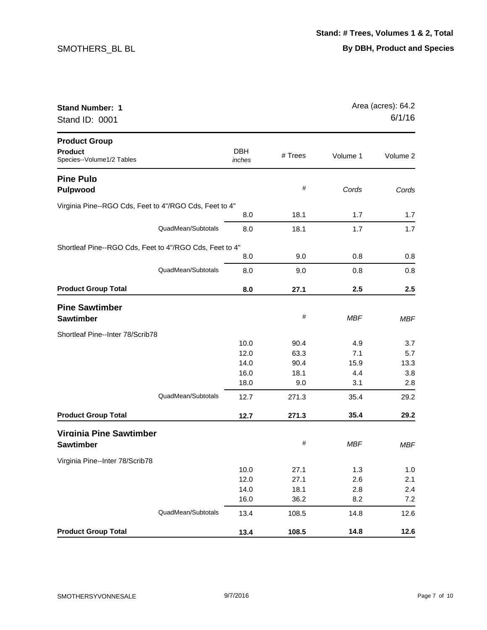| <b>Stand Number: 1</b><br>Stand ID: 0001                            |                      | Area (acres): 64.2<br>6/1/16 |            |            |
|---------------------------------------------------------------------|----------------------|------------------------------|------------|------------|
| <b>Product Group</b><br><b>Product</b><br>Species--Volume1/2 Tables | <b>DBH</b><br>inches | # Trees                      | Volume 1   | Volume 2   |
| <b>Pine Pulp</b><br><b>Pulpwood</b>                                 |                      | #                            | Cords      | Cords      |
| Virginia Pine--RGO Cds, Feet to 4"/RGO Cds, Feet to 4"              |                      |                              |            |            |
|                                                                     | 8.0                  | 18.1                         | 1.7        | 1.7        |
| QuadMean/Subtotals                                                  | 8.0                  | 18.1                         | 1.7        | 1.7        |
| Shortleaf Pine--RGO Cds, Feet to 4"/RGO Cds, Feet to 4"             |                      |                              |            |            |
|                                                                     | 8.0                  | 9.0                          | 0.8        | 0.8        |
| QuadMean/Subtotals                                                  | 8.0                  | 9.0                          | 0.8        | 0.8        |
| <b>Product Group Total</b>                                          | 8.0                  | 27.1                         | 2.5        | 2.5        |
| <b>Pine Sawtimber</b><br><b>Sawtimber</b>                           |                      | #                            | <b>MBF</b> | <b>MBF</b> |
| Shortleaf Pine--Inter 78/Scrib78                                    |                      |                              |            |            |
|                                                                     | 10.0                 | 90.4                         | 4.9        | 3.7        |
|                                                                     | 12.0                 | 63.3                         | 7.1        | 5.7        |
|                                                                     | 14.0                 | 90.4                         | 15.9       | 13.3       |
|                                                                     | 16.0                 | 18.1                         | 4.4        | 3.8        |
|                                                                     | 18.0                 | 9.0                          | 3.1        | 2.8        |
| QuadMean/Subtotals                                                  | 12.7                 | 271.3                        | 35.4       | 29.2       |
| <b>Product Group Total</b>                                          | 12.7                 | 271.3                        | 35.4       | 29.2       |
| <b>Virginia Pine Sawtimber</b><br><b>Sawtimber</b>                  |                      | #                            | MBF        | <b>MBF</b> |
| Virginia Pine--Inter 78/Scrib78                                     |                      |                              |            |            |
|                                                                     | 10.0                 | 27.1                         | 1.3        | 1.0        |
|                                                                     | 12.0                 | 27.1                         | 2.6        | 2.1        |
|                                                                     | 14.0                 | 18.1                         | 2.8        | 2.4        |
|                                                                     | 16.0                 | 36.2                         | 8.2        | 7.2        |
| QuadMean/Subtotals                                                  | 13.4                 | 108.5                        | 14.8       | 12.6       |
| <b>Product Group Total</b>                                          | 13.4                 | 108.5                        | 14.8       | 12.6       |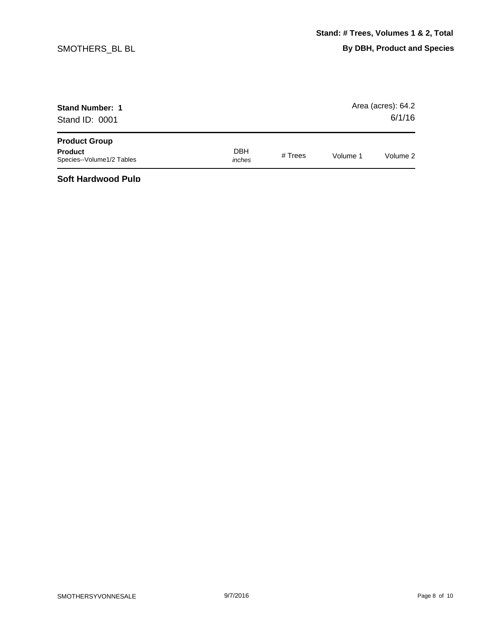| <b>Stand Number: 1</b><br>Stand ID: 0001    |                      |           |          | Area (acres): 64.2<br>6/1/16 |
|---------------------------------------------|----------------------|-----------|----------|------------------------------|
| <b>Product Group</b>                        |                      |           |          |                              |
| <b>Product</b><br>Species--Volume1/2 Tables | <b>DBH</b><br>inches | # $Trees$ | Volume 1 | Volume 2                     |

**Soft Hardwood Pulp**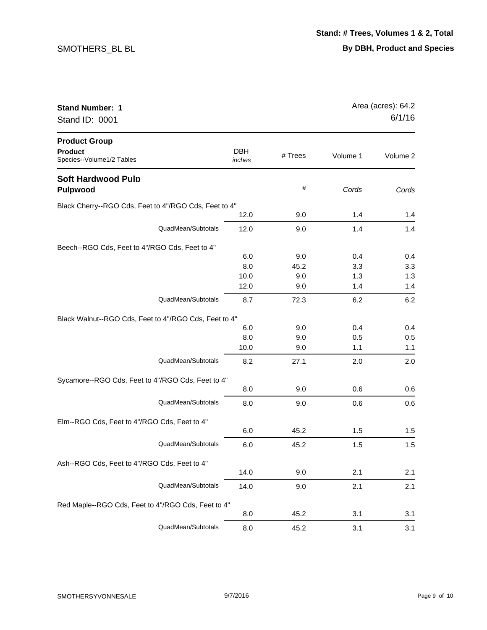| <b>Stand Number: 1</b><br>Stand ID: 0001                                    |                            |                           |                          | Area (acres): 64.2<br>6/1/16 |  |
|-----------------------------------------------------------------------------|----------------------------|---------------------------|--------------------------|------------------------------|--|
| <b>Product Group</b><br><b>Product</b><br>Species--Volume1/2 Tables         | <b>DBH</b><br>inches       | # Trees                   | Volume 1                 | Volume 2                     |  |
| <b>Soft Hardwood Pulp</b><br><b>Pulpwood</b>                                |                            | #                         | Cords                    | Cords                        |  |
| Black Cherry--RGO Cds, Feet to 4"/RGO Cds, Feet to 4"                       | 12.0                       | 9.0                       | 1.4                      | 1.4                          |  |
| QuadMean/Subtotals                                                          | 12.0                       | 9.0                       | 1.4                      | 1.4                          |  |
| Beech--RGO Cds, Feet to 4"/RGO Cds, Feet to 4"                              | 6.0<br>8.0<br>10.0<br>12.0 | 9.0<br>45.2<br>9.0<br>9.0 | 0.4<br>3.3<br>1.3<br>1.4 | 0.4<br>3.3<br>1.3<br>1.4     |  |
| QuadMean/Subtotals                                                          | 8.7                        | 72.3                      | 6.2                      | 6.2                          |  |
| Black Walnut--RGO Cds, Feet to 4"/RGO Cds, Feet to 4"<br>QuadMean/Subtotals | 6.0<br>8.0<br>10.0<br>8.2  | 9.0<br>9.0<br>9.0<br>27.1 | 0.4<br>0.5<br>1.1<br>2.0 | 0.4<br>0.5<br>1.1<br>2.0     |  |
| Sycamore--RGO Cds, Feet to 4"/RGO Cds, Feet to 4"<br>QuadMean/Subtotals     | 8.0<br>8.0                 | 9.0<br>9.0                | 0.6<br>0.6               | 0.6<br>0.6                   |  |
| Elm--RGO Cds, Feet to 4"/RGO Cds, Feet to 4"                                | 6.0                        | 45.2                      | 1.5                      | 1.5                          |  |
| QuadMean/Subtotals<br>Ash--RGO Cds, Feet to 4"/RGO Cds, Feet to 4"          | 6.0                        | 45.2                      | 1.5                      | 1.5                          |  |
|                                                                             | 14.0                       | 9.0                       | 2.1                      | 2.1                          |  |
| QuadMean/Subtotals                                                          | 14.0                       | 9.0                       | 2.1                      | 2.1                          |  |
| Red Maple--RGO Cds, Feet to 4"/RGO Cds, Feet to 4"<br>QuadMean/Subtotals    | 8.0                        | 45.2                      | 3.1                      | 3.1                          |  |
|                                                                             | 8.0                        | 45.2                      | 3.1                      | 3.1                          |  |